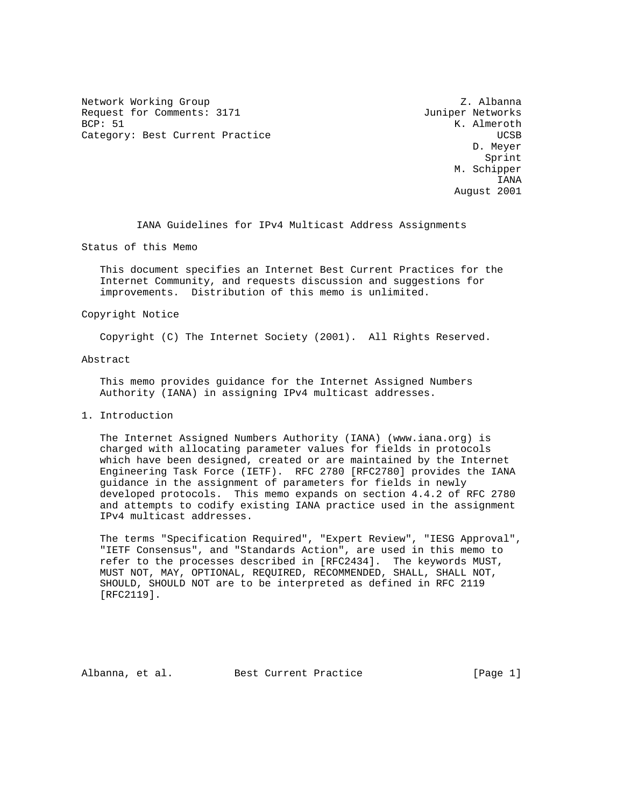Network Working Group Z. Albanna Request for Comments: 3171 Juniper Networks<br>BCP: 51 K. Almeroth Category: Best Current Practice and Controller and COSB UCSB

K. Almeroth D. Meyer **Sprint** Sprint Sprint Sprint Sprint Sprint Sprint Sprint Sprint Sprint Sprint Sprint Sprint Sprint Sprint Sprint Sprint Sprint Sprint Sprint Sprint Sprint Sprint Sprint Sprint Sprint Sprint Sprint Sprint Sprint Sprint Spr M. Schipper IANA August 2001

IANA Guidelines for IPv4 Multicast Address Assignments

Status of this Memo

 This document specifies an Internet Best Current Practices for the Internet Community, and requests discussion and suggestions for improvements. Distribution of this memo is unlimited.

### Copyright Notice

Copyright (C) The Internet Society (2001). All Rights Reserved.

### Abstract

 This memo provides guidance for the Internet Assigned Numbers Authority (IANA) in assigning IPv4 multicast addresses.

## 1. Introduction

 The Internet Assigned Numbers Authority (IANA) (www.iana.org) is charged with allocating parameter values for fields in protocols which have been designed, created or are maintained by the Internet Engineering Task Force (IETF). RFC 2780 [RFC2780] provides the IANA guidance in the assignment of parameters for fields in newly developed protocols. This memo expands on section 4.4.2 of RFC 2780 and attempts to codify existing IANA practice used in the assignment IPv4 multicast addresses.

 The terms "Specification Required", "Expert Review", "IESG Approval", "IETF Consensus", and "Standards Action", are used in this memo to refer to the processes described in [RFC2434]. The keywords MUST, MUST NOT, MAY, OPTIONAL, REQUIRED, RECOMMENDED, SHALL, SHALL NOT, SHOULD, SHOULD NOT are to be interpreted as defined in RFC 2119 [RFC2119].

Albanna, et al. Best Current Practice [Page 1]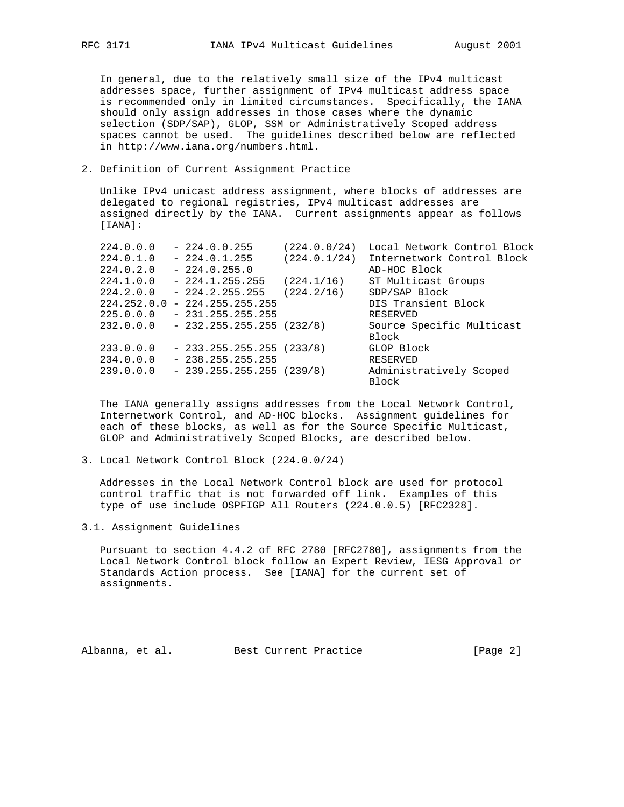In general, due to the relatively small size of the IPv4 multicast addresses space, further assignment of IPv4 multicast address space is recommended only in limited circumstances. Specifically, the IANA should only assign addresses in those cases where the dynamic selection (SDP/SAP), GLOP, SSM or Administratively Scoped address spaces cannot be used. The guidelines described below are reflected in http://www.iana.org/numbers.html.

## 2. Definition of Current Assignment Practice

 Unlike IPv4 unicast address assignment, where blocks of addresses are delegated to regional registries, IPv4 multicast addresses are assigned directly by the IANA. Current assignments appear as follows [IANA]:

| 224.0.0.0 | $-224.0.0.255$                  | (224.0.0/24) | Local Network Control Block |
|-----------|---------------------------------|--------------|-----------------------------|
| 224.0.1.0 | $-224.0.1.255$                  | (224.0.1/24) | Internetwork Control Block  |
| 224.0.2.0 | $-224.0.255.0$                  |              | AD-HOC Block                |
| 224.1.0.0 | $-224.1.255.255$                | (224.1/16)   | ST Multicast Groups         |
| 224.2.0.0 | $-224.2.255.255$                | (224.2/16)   | SDP/SAP Block               |
|           | $224.252.0.0 - 224.255.255.255$ |              | DIS Transient Block         |
| 225.0.0.0 | $-231.255.255.255$              |              | RESERVED                    |
| 232.0.0.0 | $-232.255.255.255(232/8)$       |              | Source Specific Multicast   |
|           |                                 |              | Block                       |
| 233.0.0.0 | $-233.255.255.255(233/8)$       |              | GLOP Block                  |
| 234.0.0.0 | $-238.255.255.255$              |              | RESERVED                    |
| 239.0.0.0 | $-239.255.255.255(239/8)$       |              | Administratively Scoped     |
|           |                                 |              | Block                       |

 The IANA generally assigns addresses from the Local Network Control, Internetwork Control, and AD-HOC blocks. Assignment guidelines for each of these blocks, as well as for the Source Specific Multicast, GLOP and Administratively Scoped Blocks, are described below.

3. Local Network Control Block (224.0.0/24)

 Addresses in the Local Network Control block are used for protocol control traffic that is not forwarded off link. Examples of this type of use include OSPFIGP All Routers (224.0.0.5) [RFC2328].

3.1. Assignment Guidelines

 Pursuant to section 4.4.2 of RFC 2780 [RFC2780], assignments from the Local Network Control block follow an Expert Review, IESG Approval or Standards Action process. See [IANA] for the current set of assignments.

Albanna, et al. Best Current Practice [Page 2]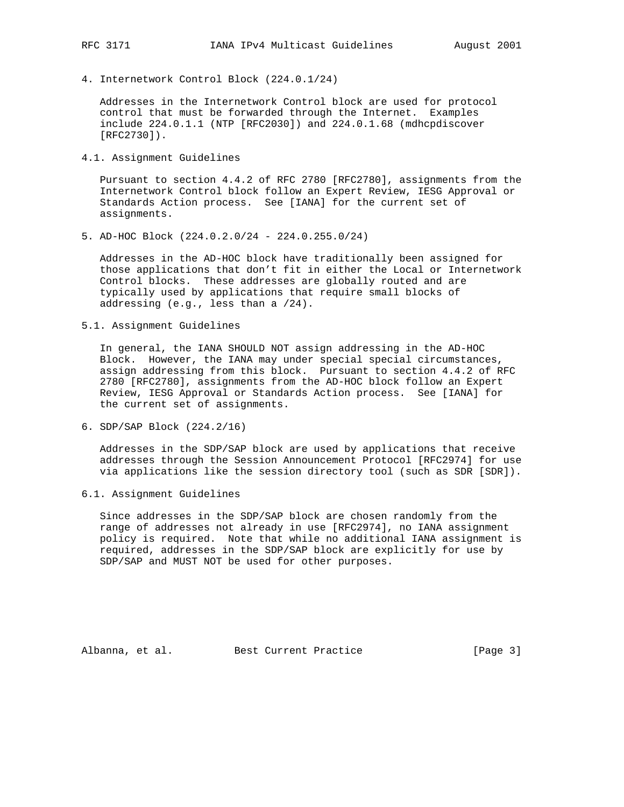4. Internetwork Control Block (224.0.1/24)

 Addresses in the Internetwork Control block are used for protocol control that must be forwarded through the Internet. Examples include 224.0.1.1 (NTP [RFC2030]) and 224.0.1.68 (mdhcpdiscover [RFC2730]).

4.1. Assignment Guidelines

 Pursuant to section 4.4.2 of RFC 2780 [RFC2780], assignments from the Internetwork Control block follow an Expert Review, IESG Approval or Standards Action process. See [IANA] for the current set of assignments.

5. AD-HOC Block (224.0.2.0/24 - 224.0.255.0/24)

 Addresses in the AD-HOC block have traditionally been assigned for those applications that don't fit in either the Local or Internetwork Control blocks. These addresses are globally routed and are typically used by applications that require small blocks of addressing (e.g., less than a /24).

5.1. Assignment Guidelines

 In general, the IANA SHOULD NOT assign addressing in the AD-HOC Block. However, the IANA may under special special circumstances, assign addressing from this block. Pursuant to section 4.4.2 of RFC 2780 [RFC2780], assignments from the AD-HOC block follow an Expert Review, IESG Approval or Standards Action process. See [IANA] for the current set of assignments.

6. SDP/SAP Block (224.2/16)

 Addresses in the SDP/SAP block are used by applications that receive addresses through the Session Announcement Protocol [RFC2974] for use via applications like the session directory tool (such as SDR [SDR]).

6.1. Assignment Guidelines

 Since addresses in the SDP/SAP block are chosen randomly from the range of addresses not already in use [RFC2974], no IANA assignment policy is required. Note that while no additional IANA assignment is required, addresses in the SDP/SAP block are explicitly for use by SDP/SAP and MUST NOT be used for other purposes.

Albanna, et al. Best Current Practice [Page 3]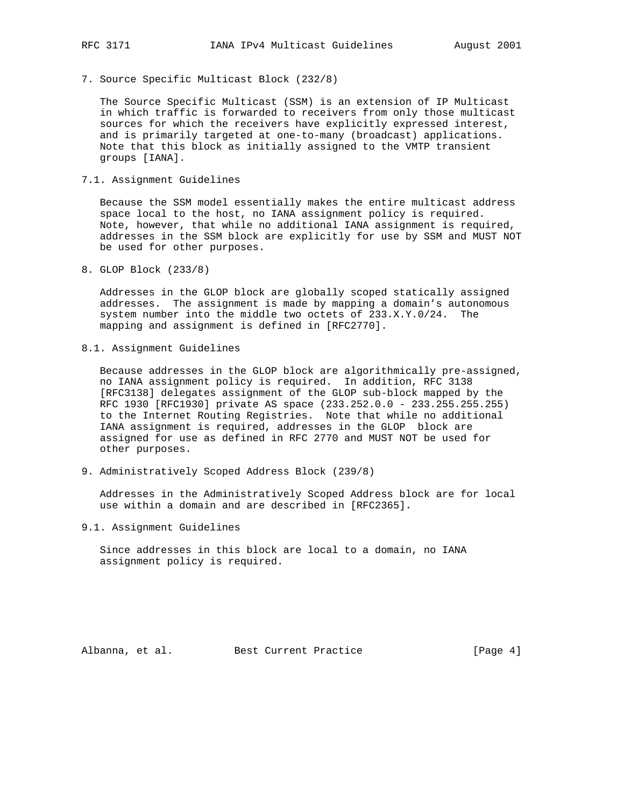- 
- 7. Source Specific Multicast Block (232/8)

 The Source Specific Multicast (SSM) is an extension of IP Multicast in which traffic is forwarded to receivers from only those multicast sources for which the receivers have explicitly expressed interest, and is primarily targeted at one-to-many (broadcast) applications. Note that this block as initially assigned to the VMTP transient groups [IANA].

7.1. Assignment Guidelines

 Because the SSM model essentially makes the entire multicast address space local to the host, no IANA assignment policy is required. Note, however, that while no additional IANA assignment is required, addresses in the SSM block are explicitly for use by SSM and MUST NOT be used for other purposes.

8. GLOP Block (233/8)

 Addresses in the GLOP block are globally scoped statically assigned addresses. The assignment is made by mapping a domain's autonomous system number into the middle two octets of 233.X.Y.0/24. The mapping and assignment is defined in [RFC2770].

8.1. Assignment Guidelines

 Because addresses in the GLOP block are algorithmically pre-assigned, no IANA assignment policy is required. In addition, RFC 3138 [RFC3138] delegates assignment of the GLOP sub-block mapped by the RFC 1930 [RFC1930] private AS space (233.252.0.0 - 233.255.255.255) to the Internet Routing Registries. Note that while no additional IANA assignment is required, addresses in the GLOP block are assigned for use as defined in RFC 2770 and MUST NOT be used for other purposes.

9. Administratively Scoped Address Block (239/8)

 Addresses in the Administratively Scoped Address block are for local use within a domain and are described in [RFC2365].

9.1. Assignment Guidelines

 Since addresses in this block are local to a domain, no IANA assignment policy is required.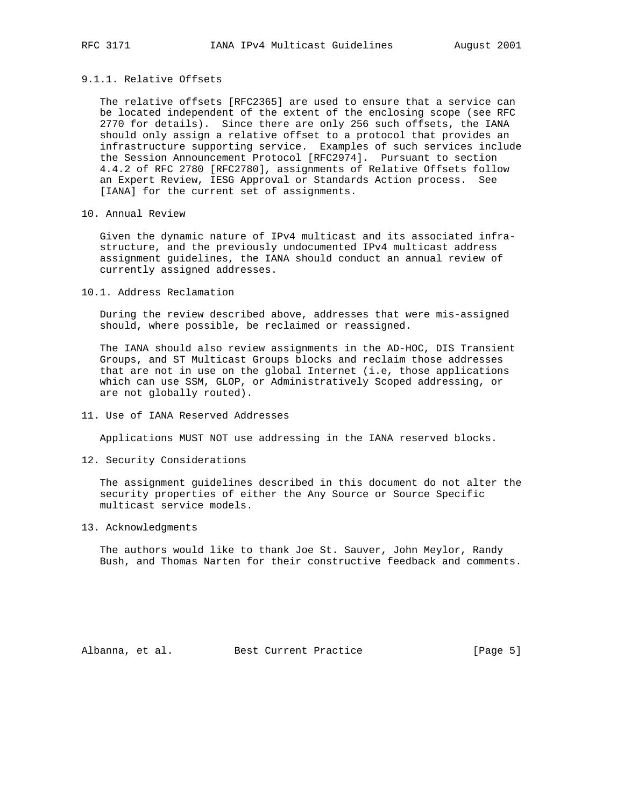## 9.1.1. Relative Offsets

 The relative offsets [RFC2365] are used to ensure that a service can be located independent of the extent of the enclosing scope (see RFC 2770 for details). Since there are only 256 such offsets, the IANA should only assign a relative offset to a protocol that provides an infrastructure supporting service. Examples of such services include the Session Announcement Protocol [RFC2974]. Pursuant to section 4.4.2 of RFC 2780 [RFC2780], assignments of Relative Offsets follow an Expert Review, IESG Approval or Standards Action process. See [IANA] for the current set of assignments.

10. Annual Review

 Given the dynamic nature of IPv4 multicast and its associated infra structure, and the previously undocumented IPv4 multicast address assignment guidelines, the IANA should conduct an annual review of currently assigned addresses.

10.1. Address Reclamation

 During the review described above, addresses that were mis-assigned should, where possible, be reclaimed or reassigned.

 The IANA should also review assignments in the AD-HOC, DIS Transient Groups, and ST Multicast Groups blocks and reclaim those addresses that are not in use on the global Internet (i.e, those applications which can use SSM, GLOP, or Administratively Scoped addressing, or are not globally routed).

11. Use of IANA Reserved Addresses

Applications MUST NOT use addressing in the IANA reserved blocks.

12. Security Considerations

 The assignment guidelines described in this document do not alter the security properties of either the Any Source or Source Specific multicast service models.

13. Acknowledgments

 The authors would like to thank Joe St. Sauver, John Meylor, Randy Bush, and Thomas Narten for their constructive feedback and comments.

Albanna, et al. Best Current Practice [Page 5]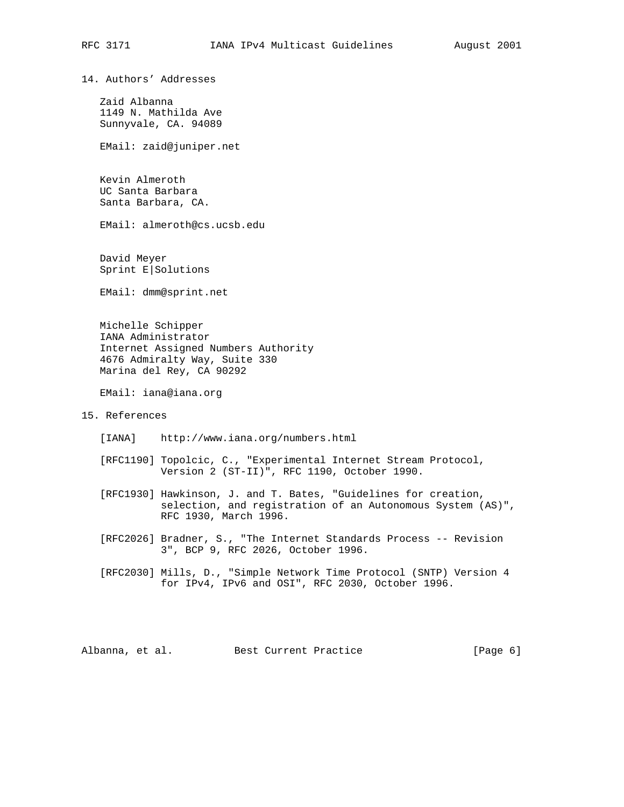14. Authors' Addresses

 Zaid Albanna 1149 N. Mathilda Ave Sunnyvale, CA. 94089

EMail: zaid@juniper.net

 Kevin Almeroth UC Santa Barbara Santa Barbara, CA.

EMail: almeroth@cs.ucsb.edu

 David Meyer Sprint E|Solutions

EMail: dmm@sprint.net

 Michelle Schipper IANA Administrator Internet Assigned Numbers Authority 4676 Admiralty Way, Suite 330 Marina del Rey, CA 90292

EMail: iana@iana.org

# 15. References

[IANA] http://www.iana.org/numbers.html

 [RFC1190] Topolcic, C., "Experimental Internet Stream Protocol, Version 2 (ST-II)", RFC 1190, October 1990.

 [RFC1930] Hawkinson, J. and T. Bates, "Guidelines for creation, selection, and registration of an Autonomous System (AS)", RFC 1930, March 1996.

 [RFC2026] Bradner, S., "The Internet Standards Process -- Revision 3", BCP 9, RFC 2026, October 1996.

 [RFC2030] Mills, D., "Simple Network Time Protocol (SNTP) Version 4 for IPv4, IPv6 and OSI", RFC 2030, October 1996.

Albanna, et al. Best Current Practice [Page 6]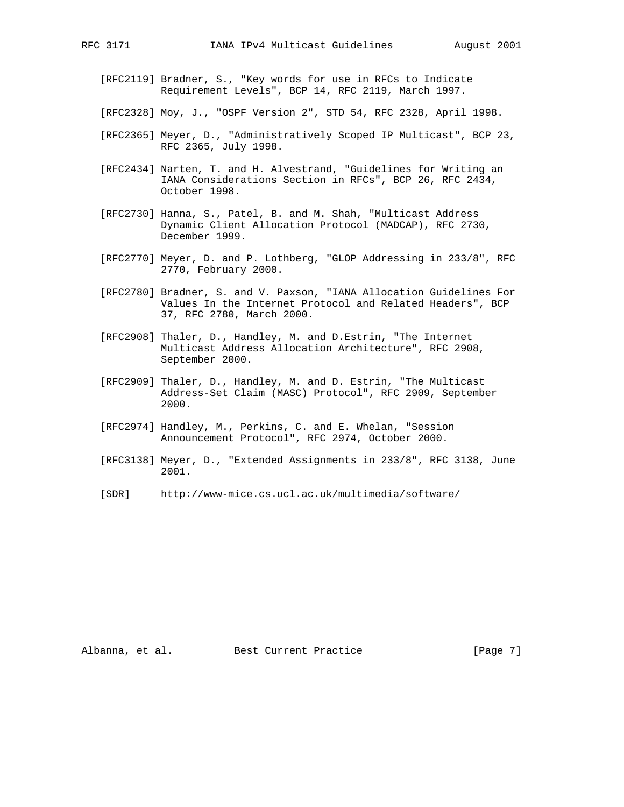- [RFC2119] Bradner, S., "Key words for use in RFCs to Indicate Requirement Levels", BCP 14, RFC 2119, March 1997.
- [RFC2328] Moy, J., "OSPF Version 2", STD 54, RFC 2328, April 1998.
- [RFC2365] Meyer, D., "Administratively Scoped IP Multicast", BCP 23, RFC 2365, July 1998.
- [RFC2434] Narten, T. and H. Alvestrand, "Guidelines for Writing an IANA Considerations Section in RFCs", BCP 26, RFC 2434, October 1998.
- [RFC2730] Hanna, S., Patel, B. and M. Shah, "Multicast Address Dynamic Client Allocation Protocol (MADCAP), RFC 2730, December 1999.
- [RFC2770] Meyer, D. and P. Lothberg, "GLOP Addressing in 233/8", RFC 2770, February 2000.
- [RFC2780] Bradner, S. and V. Paxson, "IANA Allocation Guidelines For Values In the Internet Protocol and Related Headers", BCP 37, RFC 2780, March 2000.
- [RFC2908] Thaler, D., Handley, M. and D.Estrin, "The Internet Multicast Address Allocation Architecture", RFC 2908, September 2000.
- [RFC2909] Thaler, D., Handley, M. and D. Estrin, "The Multicast Address-Set Claim (MASC) Protocol", RFC 2909, September 2000.
- [RFC2974] Handley, M., Perkins, C. and E. Whelan, "Session Announcement Protocol", RFC 2974, October 2000.
- [RFC3138] Meyer, D., "Extended Assignments in 233/8", RFC 3138, June 2001.
- [SDR] http://www-mice.cs.ucl.ac.uk/multimedia/software/

Albanna, et al. Best Current Practice [Page 7]